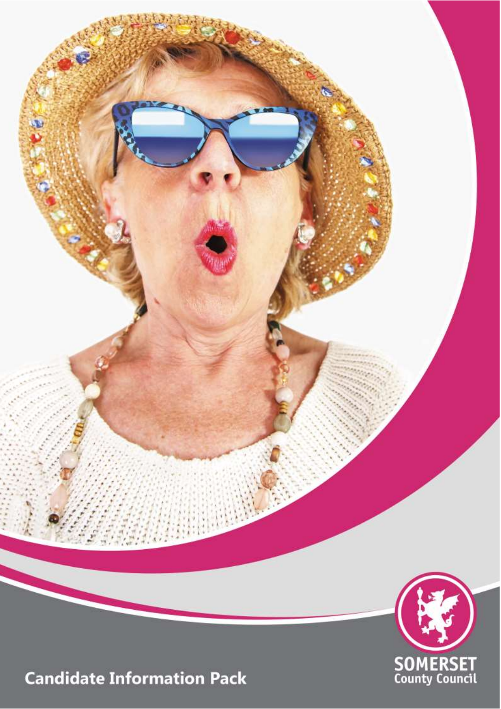

**Candidate Information Pack** 

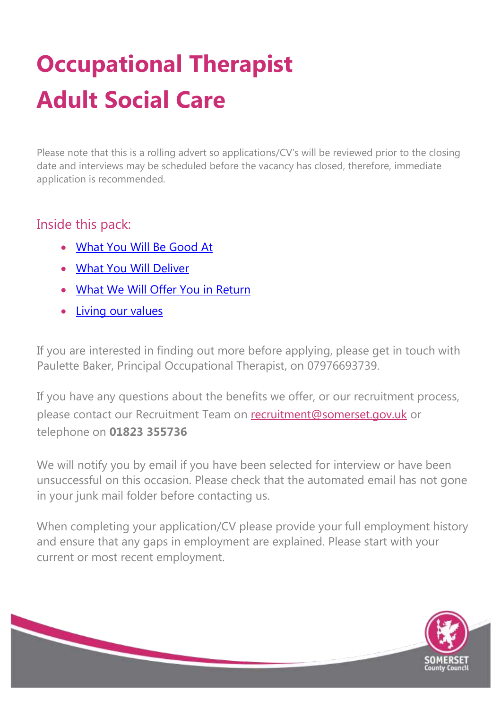## **Occupational Therapist Adult Social Care**

Please note that this is a rolling advert so applications/CV's will be reviewed prior to the closing date and interviews may be scheduled before the vacancy has closed, therefore, immediate application is recommended.

#### Inside this pack:

- [What You Will Be Good At](#page-2-0)
- [What You Will Deliver](#page-5-0)
- [What We Will Offer You in Return](#page-8-0)
- Living our values

If you are interested in finding out more before applying, please get in touch with Paulette Baker, Principal Occupational Therapist, on 07976693739.

If you have any questions about the benefits we offer, or our recruitment process, please contact our Recruitment Team on recruitment@somerset.gov.uk or telephone on **01823 355736**

We will notify you by email if you have been selected for interview or have been unsuccessful on this occasion. Please check that the automated email has not gone in your junk mail folder before contacting us.

When completing your application/CV please provide your full employment history and ensure that any gaps in employment are explained. Please start with your current or most recent employment.

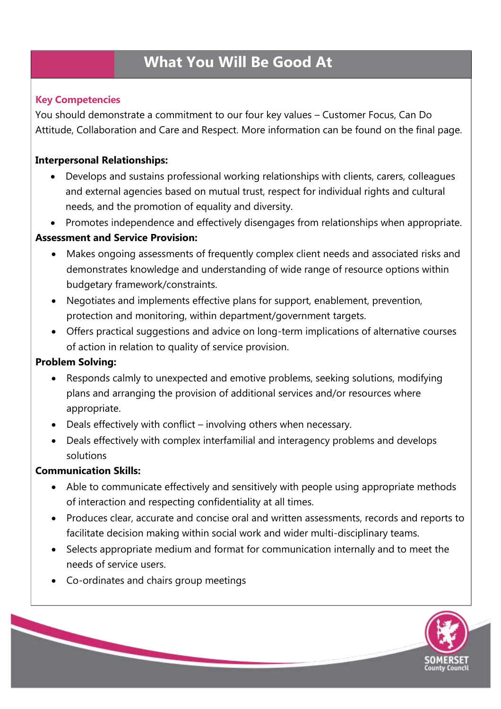### <span id="page-2-0"></span> **What You Will Be Good At**

#### **Key Competencies**

You should demonstrate a commitment to our four key values – Customer Focus, Can Do Attitude, Collaboration and Care and Respect. More information can be found on the final page.

#### **Interpersonal Relationships:**

- Develops and sustains professional working relationships with clients, carers, colleagues and external agencies based on mutual trust, respect for individual rights and cultural needs, and the promotion of equality and diversity.
- Promotes independence and effectively disengages from relationships when appropriate.

#### **Assessment and Service Provision:**

- Makes ongoing assessments of frequently complex client needs and associated risks and demonstrates knowledge and understanding of wide range of resource options within budgetary framework/constraints.
- Negotiates and implements effective plans for support, enablement, prevention, protection and monitoring, within department/government targets.
- Offers practical suggestions and advice on long-term implications of alternative courses of action in relation to quality of service provision.

#### **Problem Solving:**

- Responds calmly to unexpected and emotive problems, seeking solutions, modifying plans and arranging the provision of additional services and/or resources where appropriate.
- Deals effectively with conflict involving others when necessary.
- Deals effectively with complex interfamilial and interagency problems and develops solutions

#### **Communication Skills:**

- Able to communicate effectively and sensitively with people using appropriate methods of interaction and respecting confidentiality at all times.
- Produces clear, accurate and concise oral and written assessments, records and reports to facilitate decision making within social work and wider multi-disciplinary teams.
- Selects appropriate medium and format for communication internally and to meet the needs of service users.
- Co-ordinates and chairs group meetings

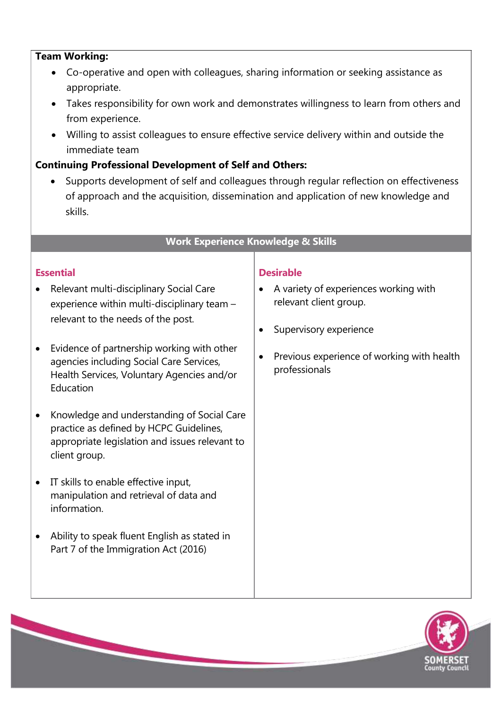#### **Team Working:**

- Co-operative and open with colleagues, sharing information or seeking assistance as appropriate.
- Takes responsibility for own work and demonstrates willingness to learn from others and from experience.
- Willing to assist colleagues to ensure effective service delivery within and outside the immediate team

#### **Continuing Professional Development of Self and Others:**

Supports development of self and colleagues through regular reflection on effectiveness of approach and the acquisition, dissemination and application of new knowledge and skills.

#### **Work Experience Knowledge & Skills**

#### **Essential**

- Relevant multi-disciplinary Social Care experience within multi-disciplinary team – relevant to the needs of the post.
- Evidence of partnership working with other agencies including Social Care Services, Health Services, Voluntary Agencies and/or Education
- Knowledge and understanding of Social Care practice as defined by HCPC Guidelines, appropriate legislation and issues relevant to client group.
- IT skills to enable effective input, manipulation and retrieval of data and information.
- Ability to speak fluent English as stated in Part 7 of the Immigration Act (2016)

#### **Desirable**

- A variety of experiences working with relevant client group.
- Supervisory experience
- Previous experience of working with health professionals

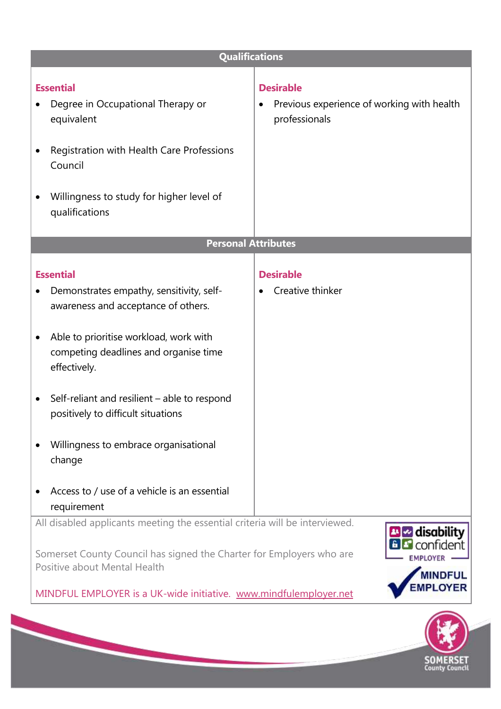| <b>Qualifications</b>                                                                                                                                                                                                                                                                                                                                                                                                     |                                                                                 |
|---------------------------------------------------------------------------------------------------------------------------------------------------------------------------------------------------------------------------------------------------------------------------------------------------------------------------------------------------------------------------------------------------------------------------|---------------------------------------------------------------------------------|
| <b>Essential</b><br>Degree in Occupational Therapy or<br>equivalent<br>Registration with Health Care Professions<br>Council<br>Willingness to study for higher level of<br>qualifications                                                                                                                                                                                                                                 | <b>Desirable</b><br>Previous experience of working with health<br>professionals |
| <b>Personal Attributes</b>                                                                                                                                                                                                                                                                                                                                                                                                |                                                                                 |
| <b>Essential</b><br>Demonstrates empathy, sensitivity, self-<br>awareness and acceptance of others.<br>Able to prioritise workload, work with<br>$\bullet$<br>competing deadlines and organise time<br>effectively.<br>Self-reliant and resilient - able to respond<br>$\bullet$<br>positively to difficult situations<br>Willingness to embrace organisational<br>change<br>Access to / use of a vehicle is an essential | <b>Desirable</b><br>Creative thinker                                            |
| requirement                                                                                                                                                                                                                                                                                                                                                                                                               |                                                                                 |
| All disabled applicants meeting the essential criteria will be interviewed.<br><b>El se</b> disability<br><b>R</b> confident<br>Somerset County Council has signed the Charter for Employers who are<br>Positive about Mental Health<br><b>MINDFUL</b><br><b>PLOYER</b><br>MINDFUL EMPLOYER is a UK-wide initiative. www.mindfulemployer.net                                                                              |                                                                                 |
|                                                                                                                                                                                                                                                                                                                                                                                                                           |                                                                                 |

**SOMERSET**<br>County Council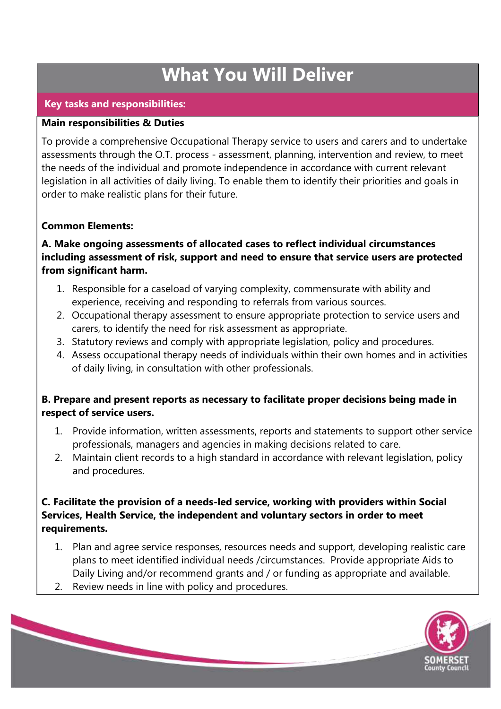### **What You Will Deliver**

#### <span id="page-5-0"></span>**Key tasks and responsibilities:**

#### **Main responsibilities & Duties**

To provide a comprehensive Occupational Therapy service to users and carers and to undertake assessments through the O.T. process - assessment, planning, intervention and review, to meet the needs of the individual and promote independence in accordance with current relevant legislation in all activities of daily living. To enable them to identify their priorities and goals in order to make realistic plans for their future.

#### **Common Elements:**

#### **A. Make ongoing assessments of allocated cases to reflect individual circumstances including assessment of risk, support and need to ensure that service users are protected from significant harm.**

- 1. Responsible for a caseload of varying complexity, commensurate with ability and experience, receiving and responding to referrals from various sources.
- 2. Occupational therapy assessment to ensure appropriate protection to service users and carers, to identify the need for risk assessment as appropriate.
- 3. Statutory reviews and comply with appropriate legislation, policy and procedures.
- 4. Assess occupational therapy needs of individuals within their own homes and in activities of daily living, in consultation with other professionals.

#### **B. Prepare and present reports as necessary to facilitate proper decisions being made in respect of service users.**

- 1. Provide information, written assessments, reports and statements to support other service professionals, managers and agencies in making decisions related to care.
- 2. Maintain client records to a high standard in accordance with relevant legislation, policy and procedures.

#### **C. Facilitate the provision of a needs-led service, working with providers within Social Services, Health Service, the independent and voluntary sectors in order to meet requirements.**

- 1. Plan and agree service responses, resources needs and support, developing realistic care plans to meet identified individual needs /circumstances. Provide appropriate Aids to Daily Living and/or recommend grants and / or funding as appropriate and available.
- 2. Review needs in line with policy and procedures.

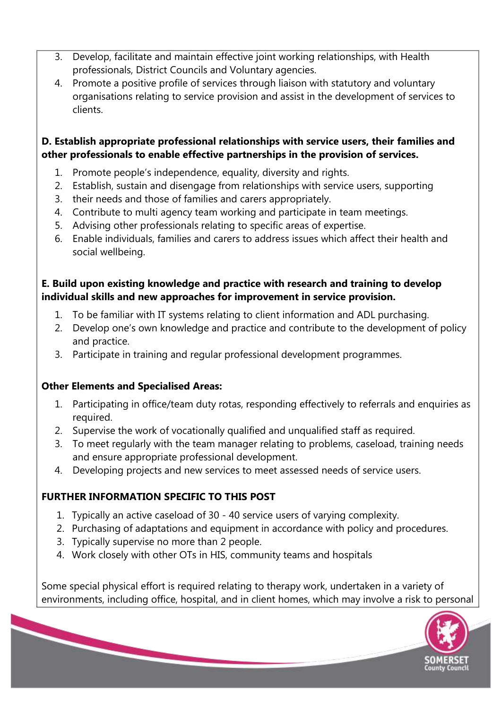- 3. Develop, facilitate and maintain effective joint working relationships, with Health professionals, District Councils and Voluntary agencies.
- 4. Promote a positive profile of services through liaison with statutory and voluntary organisations relating to service provision and assist in the development of services to clients.

#### **D. Establish appropriate professional relationships with service users, their families and other professionals to enable effective partnerships in the provision of services.**

- 1. Promote people's independence, equality, diversity and rights.
- 2. Establish, sustain and disengage from relationships with service users, supporting
- 3. their needs and those of families and carers appropriately.
- 4. Contribute to multi agency team working and participate in team meetings.
- 5. Advising other professionals relating to specific areas of expertise.
- 6. Enable individuals, families and carers to address issues which affect their health and social wellbeing.

#### **E. Build upon existing knowledge and practice with research and training to develop individual skills and new approaches for improvement in service provision.**

- 1. To be familiar with IT systems relating to client information and ADL purchasing.
- 2. Develop one's own knowledge and practice and contribute to the development of policy and practice.
- 3. Participate in training and regular professional development programmes.

#### **Other Elements and Specialised Areas:**

- 1. Participating in office/team duty rotas, responding effectively to referrals and enquiries as required.
- 2. Supervise the work of vocationally qualified and unqualified staff as required.
- 3. To meet regularly with the team manager relating to problems, caseload, training needs and ensure appropriate professional development.
- 4. Developing projects and new services to meet assessed needs of service users.

#### **FURTHER INFORMATION SPECIFIC TO THIS POST**

- 1. Typically an active caseload of 30 40 service users of varying complexity.
- 2. Purchasing of adaptations and equipment in accordance with policy and procedures.
- 3. Typically supervise no more than 2 people.
- 4. Work closely with other OTs in HIS, community teams and hospitals

Some special physical effort is required relating to therapy work, undertaken in a variety of environments, including office, hospital, and in client homes, which may involve a risk to personal

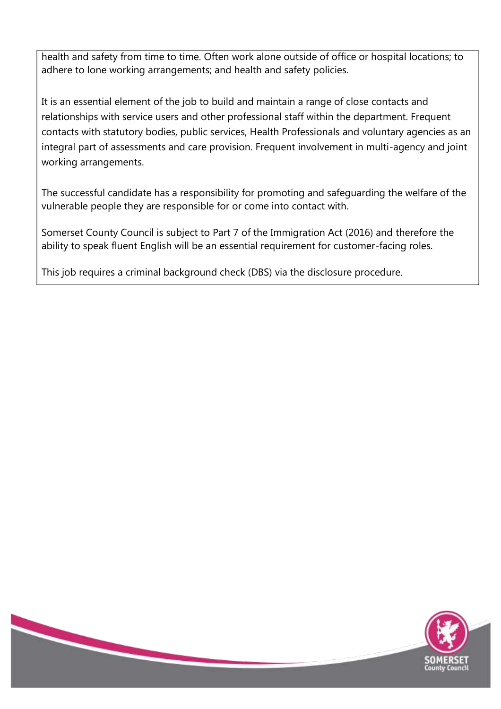health and safety from time to time. Often work alone outside of office or hospital locations; to adhere to lone working arrangements; and health and safety policies.

It is an essential element of the job to build and maintain a range of close contacts and relationships with service users and other professional staff within the department. Frequent contacts with statutory bodies, public services, Health Professionals and voluntary agencies as an integral part of assessments and care provision. Frequent involvement in multi-agency and joint working arrangements.

The successful candidate has a responsibility for promoting and safeguarding the welfare of the vulnerable people they are responsible for or come into contact with.

Somerset County Council is subject to Part 7 of the Immigration Act (2016) and therefore the ability to speak fluent English will be an essential requirement for customer-facing roles.

This job requires a criminal background check (DBS) via the disclosure procedure.

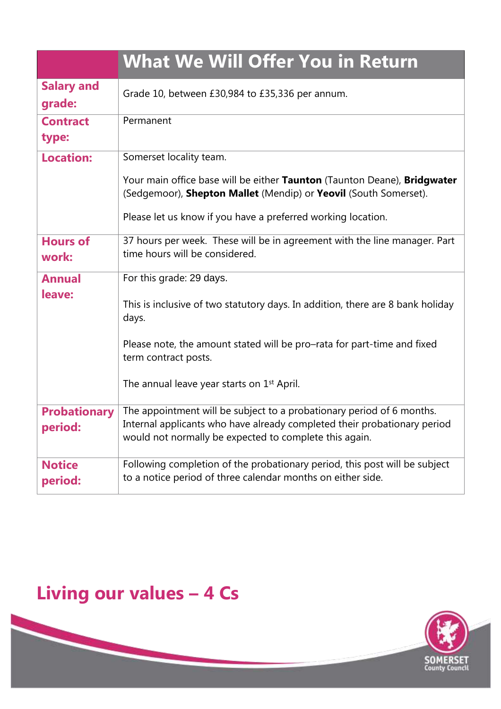<span id="page-8-0"></span>

|                                | <b>What We Will Offer You in Return</b>                                                                                                                                                                                                                                          |
|--------------------------------|----------------------------------------------------------------------------------------------------------------------------------------------------------------------------------------------------------------------------------------------------------------------------------|
| <b>Salary and</b><br>grade:    | Grade 10, between £30,984 to £35,336 per annum.                                                                                                                                                                                                                                  |
| <b>Contract</b><br>type:       | Permanent                                                                                                                                                                                                                                                                        |
| <b>Location:</b>               | Somerset locality team.<br>Your main office base will be either Taunton (Taunton Deane), Bridgwater<br>(Sedgemoor), Shepton Mallet (Mendip) or Yeovil (South Somerset).<br>Please let us know if you have a preferred working location.                                          |
| <b>Hours of</b><br>work:       | 37 hours per week. These will be in agreement with the line manager. Part<br>time hours will be considered.                                                                                                                                                                      |
| <b>Annual</b><br>leave:        | For this grade: 29 days.<br>This is inclusive of two statutory days. In addition, there are 8 bank holiday<br>days.<br>Please note, the amount stated will be pro-rata for part-time and fixed<br>term contract posts.<br>The annual leave year starts on 1 <sup>st</sup> April. |
| <b>Probationary</b><br>period: | The appointment will be subject to a probationary period of 6 months.<br>Internal applicants who have already completed their probationary period<br>would not normally be expected to complete this again.                                                                      |
| <b>Notice</b><br>period:       | Following completion of the probationary period, this post will be subject<br>to a notice period of three calendar months on either side.                                                                                                                                        |

## **Living our values – 4 Cs**